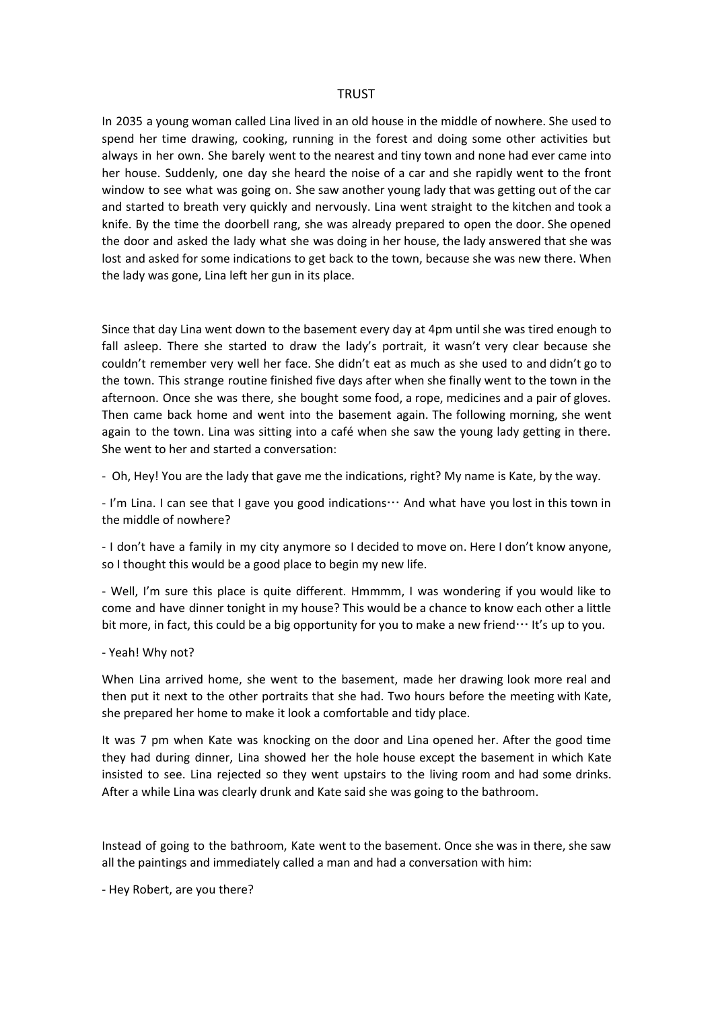## **TRUST**

In 2035 a young woman called Lina lived in an old house in the middle of nowhere. She used to spend her time drawing, cooking, running in the forest and doing some other activities but always in her own. She barely went to the nearest and tiny town and none had ever came into her house. Suddenly, one day she heard the noise of a car and she rapidly went to the front window to see what was going on. She saw another young lady that was getting out of the car and started to breath very quickly and nervously. Lina went straight to the kitchen and took a knife. By the time the doorbell rang, she was already prepared to open the door. She opened the door and asked the lady what she was doing in her house, the lady answered that she was lost and asked for some indications to get back to the town, because she was new there. When the lady was gone, Lina left her gun in its place.

Since that day Lina went down to the basement every day at 4pm until she was tired enough to fall asleep. There she started to draw the lady's portrait, it wasn't very clear because she couldn't remember very well her face. She didn't eat as much as she used to and didn't go to the town. This strange routine finished five days after when she finally went to the town in the afternoon. Once she was there, she bought some food, a rope, medicines and a pair of gloves. Then came back home and went into the basement again. The following morning, she went again to the town. Lina was sitting into a café when she saw the young lady getting in there. She went to her and started a conversation:

- Oh, Hey! You are the lady that gave me the indications, right? My name is Kate, by the way.

- I'm Lina. I can see that I gave you good indications… And what have you lost in this town in the middle of nowhere?

- I don't have a family in my city anymore so I decided to move on. Here I don't know anyone, so I thought this would be a good place to begin my new life.

- Well, I'm sure this place is quite different. Hmmmm, I was wondering if you would like to come and have dinner tonight in my house? This would be a chance to know each other a little bit more, in fact, this could be a big opportunity for you to make a new friend… It's up to you.

- Yeah! Why not?

When Lina arrived home, she went to the basement, made her drawing look more real and then put it next to the other portraits that she had. Two hours before the meeting with Kate, she prepared her home to make it look a comfortable and tidy place.

It was 7 pm when Kate was knocking on the door and Lina opened her. After the good time they had during dinner, Lina showed her the hole house except the basement in which Kate insisted to see. Lina rejected so they went upstairs to the living room and had some drinks. After a while Lina was clearly drunk and Kate said she was going to the bathroom.

Instead of going to the bathroom, Kate went to the basement. Once she was in there, she saw all the paintings and immediately called a man and had a conversation with him:

- Hey Robert, are you there?